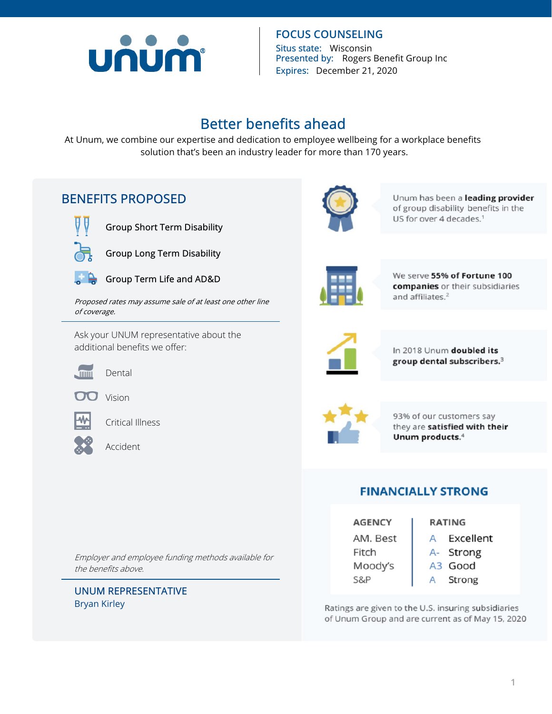

**FOCUS COUNSELING Situs state:** Wisconsin **Presented by:** Rogers Benefit Group Inc **Expires:** December 21, 2020

# **Better benefits ahead**

At Unum, we combine our expertise and dedication to employee wellbeing for a workplace benefits solution that's been an industry leader for more than 170 years.

# **BENEFITS PROPOSED**



**Group Short Term Disability** 



**Group Long Term Disability** 



**Group Term Life and AD&D** 

*Proposed rates may assume sale of at least one other line of coverage.* 

Ask your UNUM representative about the additional benefits we offer:



Dental



Vision



Critical Illness



Accident

*Employer and employee funding methods available for the benefits above.* 

**UNUM REPRESENTATIVE**  Bryan Kirley



Unum has been a leading provider of group disability benefits in the US for over 4 decades.<sup>1</sup>



We serve 55% of Fortune 100 companies or their subsidiaries and affiliates.<sup>2</sup>



In 2018 Unum doubled its group dental subscribers.<sup>3</sup>



93% of our customers say they are satisfied with their Unum products.<sup>4</sup>

# **FINANCIALLY STRONG**

| <b>AGENCY</b> | <b>RATING</b>  |  |
|---------------|----------------|--|
| AM. Best      | Excellent      |  |
| Fitch         | Strong<br>$A-$ |  |
| Moody's       | A3 Good        |  |
| S&P           | Strong         |  |

Ratings are given to the U.S. insuring subsidiaries of Unum Group and are current as of May 15, 2020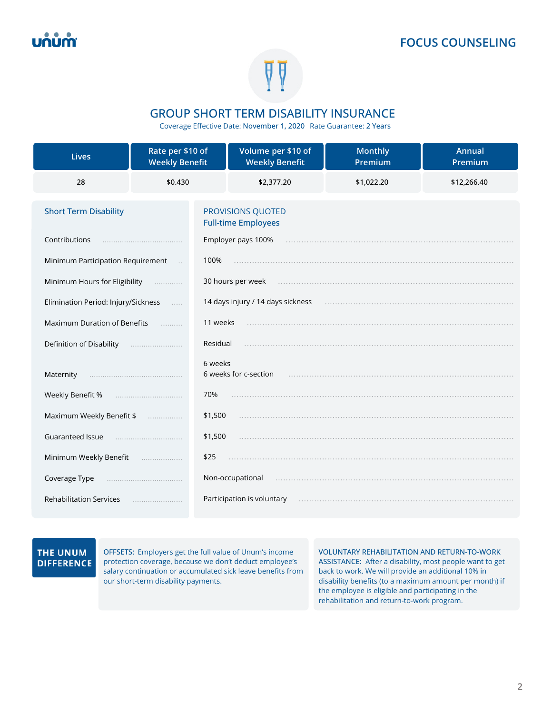

### **GROUP SHORT TERM DISABILITY INSURANCE**

Coverage Effective Date: **November 1, 2020** Rate Guarantee: **2 Years** 

| <b>Lives</b>                        | Rate per \$10 of<br><b>Weekly Benefit</b> | Volume per \$10 of<br><b>Weekly Benefit</b>     | <b>Monthly</b><br>Premium | Annual<br>Premium |
|-------------------------------------|-------------------------------------------|-------------------------------------------------|---------------------------|-------------------|
| 28                                  | \$0.430                                   | \$2,377.20                                      | \$1,022.20                | \$12,266.40       |
| <b>Short Term Disability</b>        |                                           | PROVISIONS QUOTED<br><b>Full-time Employees</b> |                           |                   |
| Contributions                       |                                           | Employer pays 100%                              |                           |                   |
| Minimum Participation Requirement   | 100%                                      |                                                 |                           |                   |
| Minimum Hours for Eligibility       | .                                         | 30 hours per week                               |                           |                   |
| Elimination Period: Injury/Sickness |                                           | 14 days injury / 14 days sickness               |                           |                   |
| <b>Maximum Duration of Benefits</b> | 11 weeks<br>.                             |                                                 |                           |                   |
| Definition of Disability            | Residual                                  |                                                 |                           |                   |
| Maternity                           | 6 weeks                                   | 6 weeks for c-section                           |                           |                   |
| Weekly Benefit %                    | 70%                                       |                                                 |                           |                   |
| Maximum Weekly Benefit \$           | \$1,500<br>.                              |                                                 |                           |                   |
| Guaranteed Issue                    | \$1,500                                   |                                                 |                           |                   |
| Minimum Weekly Benefit              | \$25<br>.                                 |                                                 |                           |                   |
| Coverage Type                       |                                           | Non-occupational                                |                           |                   |
| <b>Rehabilitation Services</b>      |                                           | Participation is voluntary                      |                           |                   |

### THE UNUM **DIFFERENCE**

**OFFSETS:** Employers get the full value of Unum's income protection coverage, because we don't deduct employee's salary continuation or accumulated sick leave benefits from our short-term disability payments.

**VOLUNTARY REHABILITATION AND RETURN-TO-WORK ASSISTANCE:** After a disability, most people want to get back to work. We will provide an additional 10% in disability benefits (to a maximum amount per month) if the employee is eligible and participating in the rehabilitation and return-to-work program.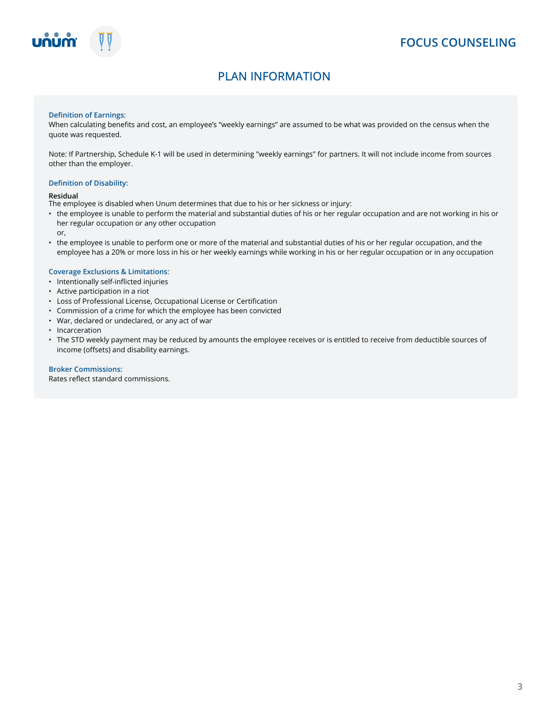

# **PLAN INFORMATION**

### **Definition of Earnings:**

When calculating benefits and cost, an employee's "weekly earnings" are assumed to be what was provided on the census when the quote was requested.

Note: If Partnership, Schedule K-1 will be used in determining "weekly earnings" for partners. It will not include income from sources other than the employer.

#### **Definition of Disability:**

#### **Residual**

- The employee is disabled when Unum determines that due to his or her sickness or injury:
- the employee is unable to perform the material and substantial duties of his or her regular occupation and are not working in his or her regular occupation or any other occupation
	- or,
- the employee is unable to perform one or more of the material and substantial duties of his or her regular occupation, and the employee has a 20% or more loss in his or her weekly earnings while working in his or her regular occupation or in any occupation

#### **Coverage Exclusions & Limitations:**

- Intentionally self-inflicted injuries
- Active participation in a riot
- Loss of Professional License, Occupational License or Certification
- Commission of a crime for which the employee has been convicted
- War, declared or undeclared, or any act of war
- Incarceration
- The STD weekly payment may be reduced by amounts the employee receives or is entitled to receive from deductible sources of income (offsets) and disability earnings.

#### **Broker Commissions:**

Rates reflect standard commissions.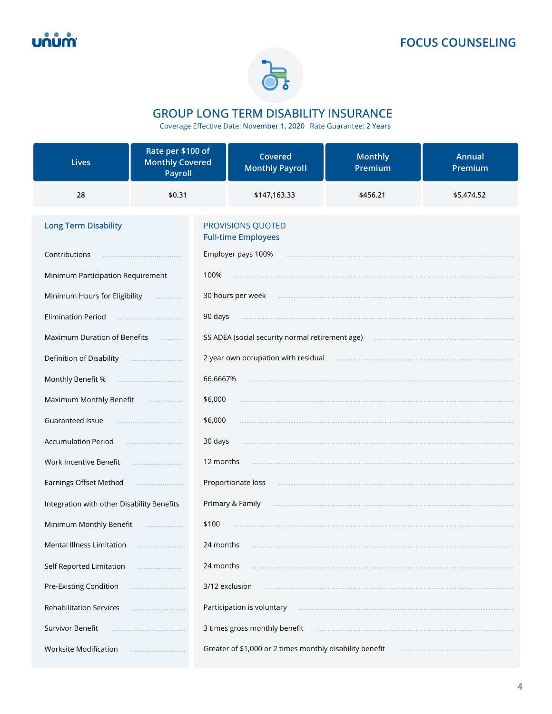

# **GROUP LONG TERM DISABILITY INSURANCE**

Coverage Effective Date: November 1, 2020 Rate Guarantee: 2 Years

| <b>Lives</b>                               | Rate per \$100 of<br><b>Monthly Covered</b><br>Payroll | Covered<br><b>Monthly Payroll</b>                        | <b>Monthly</b><br>Premium | Annual<br>Premium |
|--------------------------------------------|--------------------------------------------------------|----------------------------------------------------------|---------------------------|-------------------|
| 28                                         | \$0.31                                                 | \$147,163.33                                             | \$456.21                  | \$5,474.52        |
| <b>Long Term Disability</b>                |                                                        | PROVISIONS QUOTED<br><b>Full-time Employees</b>          |                           |                   |
| Contributions                              |                                                        | Employer pays 100%                                       |                           |                   |
| Minimum Participation Requirement          | 100%                                                   |                                                          |                           |                   |
| Minimum Hours for Eligibility              | .                                                      | 30 hours per week                                        |                           |                   |
| <b>Elimination Period</b>                  | 90 days                                                |                                                          |                           |                   |
| Maximum Duration of Benefits               | .                                                      | SS ADEA (social security normal retirement age)          |                           |                   |
| Definition of Disability                   |                                                        | 2 year own occupation with residual                      |                           |                   |
| Monthly Benefit %                          |                                                        | 66.6667%                                                 |                           |                   |
| Maximum Monthly Benefit <b>Maximum</b>     | \$6,000                                                |                                                          |                           |                   |
| <b>Guaranteed Issue</b>                    | \$6,000                                                |                                                          |                           |                   |
| <b>Accumulation Period</b>                 | 30 days                                                |                                                          |                           |                   |
| Work Incentive Benefit                     |                                                        | 12 months                                                |                           |                   |
| Earnings Offset Method                     |                                                        | Proportionate loss                                       |                           |                   |
| Integration with other Disability Benefits |                                                        | Primary & Family                                         |                           |                   |
| Minimum Monthly Benefit                    | \$100<br>.                                             |                                                          |                           |                   |
| Mental Illness Limitation                  |                                                        | 24 months                                                |                           |                   |
| Self Reported Limitation                   |                                                        | 24 months                                                |                           |                   |
| Pre-Existing Condition                     |                                                        | 3/12 exclusion                                           |                           |                   |
| <b>Rehabilitation Services</b>             |                                                        | Participation is voluntary                               |                           |                   |
| Survivor Benefit                           |                                                        | 3 times gross monthly benefit                            |                           |                   |
| Worksite Modification                      |                                                        | Greater of \$1,000 or 2 times monthly disability benefit |                           |                   |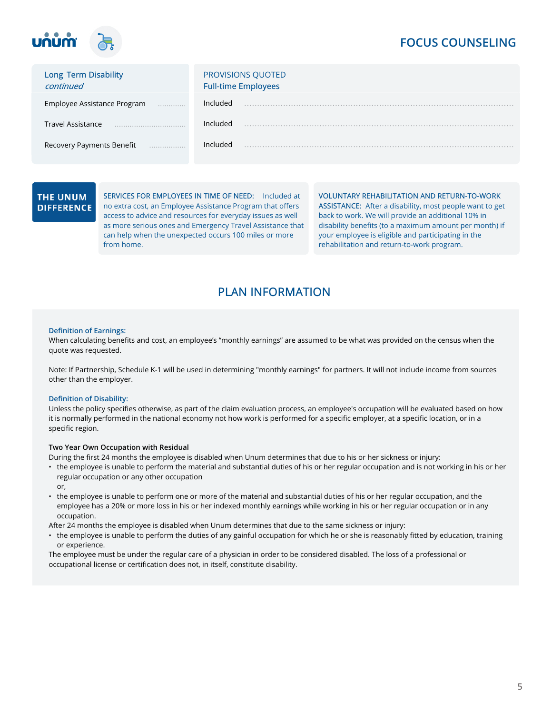

| Long Term Disability<br>continued | <b>PROVISIONS QUOTED</b><br><b>Full-time Employees</b> |
|-----------------------------------|--------------------------------------------------------|
| Employee Assistance Program       | Included                                               |
| <b>Travel Assistance</b>          | Included                                               |
| Recovery Payments Benefit<br>.    | Included                                               |

### THE UNUM **DIFFERENCE**

**SERVICES FOR EMPLOYEES IN TIME OF NEED:** Included at no extra cost, an Employee Assistance Program that offers access to advice and resources for everyday issues as well as more serious ones and Emergency Travel Assistance that can help when the unexpected occurs 100 miles or more from home.

**VOLUNTARY REHABILITATION AND RETURN-TO-WORK ASSISTANCE:** After a disability, most people want to get back to work. We will provide an additional 10% in disability benefits (to a maximum amount per month) if your employee is eligible and participating in the rehabilitation and return-to-work program.

# **PLAN INFORMATION**

#### **Definition of Earnings:**

When calculating benefits and cost, an employee's "monthly earnings" are assumed to be what was provided on the census when the quote was requested.

Note: If Partnership, Schedule K-1 will be used in determining "monthly earnings" for partners. It will not include income from sources other than the employer.

#### **Definition of Disability:**

Unless the policy specifies otherwise, as part of the claim evaluation process, an employee's occupation will be evaluated based on how it is normally performed in the national economy not how work is performed for a specific employer, at a specific location, or in a specific region.

### **Two Year Own Occupation with Residual**

During the first 24 months the employee is disabled when Unum determines that due to his or her sickness or injury:

- the employee is unable to perform the material and substantial duties of his or her regular occupation and is not working in his or her regular occupation or any other occupation or,
- the employee is unable to perform one or more of the material and substantial duties of his or her regular occupation, and the employee has a 20% or more loss in his or her indexed monthly earnings while working in his or her regular occupation or in any occupation.

After 24 months the employee is disabled when Unum determines that due to the same sickness or injury:

• the employee is unable to perform the duties of any gainful occupation for which he or she is reasonably fitted by education, training or experience.

The employee must be under the regular care of a physician in order to be considered disabled. The loss of a professional or occupational license or certification does not, in itself, constitute disability.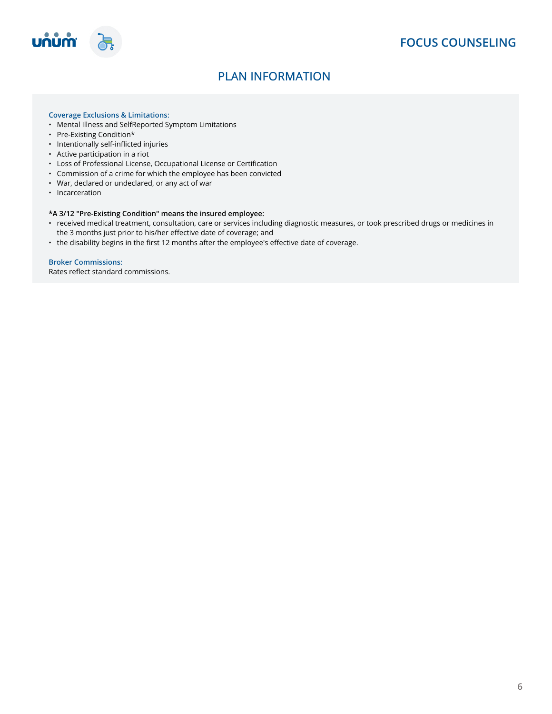

# **PLAN INFORMATION**

### **Coverage Exclusions & Limitations:**

- Mental Illness and SelfReported Symptom Limitations
- Pre-Existing Condition\*
- Intentionally self-inflicted injuries
- Active participation in a riot
- Loss of Professional License, Occupational License or Certification
- Commission of a crime for which the employee has been convicted
- War, declared or undeclared, or any act of war
- Incarceration

#### **\*A 3/12 "Pre-Existing Condition" means the insured employee:**

- received medical treatment, consultation, care or services including diagnostic measures, or took prescribed drugs or medicines in the 3 months just prior to his/her effective date of coverage; and
- the disability begins in the first 12 months after the employee's effective date of coverage.

### **Broker Commissions:**

Rates reflect standard commissions.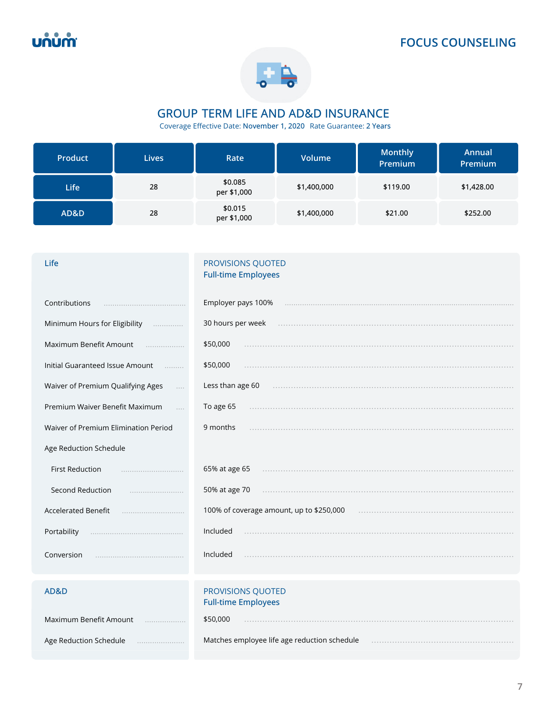

# **GROUP TERM LIFE AND AD&D INSURANCE**

Coverage Effective Date: **November 1, 2020** Rate Guarantee: **2 Years** 

| <b>Product</b> | <b>Lives</b> | Rate                   | <b>Volume</b> | <b>Monthly</b><br>Premium | Annual<br>Premium |
|----------------|--------------|------------------------|---------------|---------------------------|-------------------|
| <b>Life</b>    | 28           | \$0.085<br>per \$1,000 | \$1,400,000   | \$119.00                  | \$1,428.00        |
| AD&D           | 28           | \$0.015<br>per \$1,000 | \$1,400,000   | \$21.00                   | \$252.00          |

### **Life Contract Contract Contract Contract Contract Contract Contract Contract Contract Contract Contract Contract Contract Contract Contract Contract Contract Contract Contract Contract Contract Contract Contract Contract Full-time Employees**

| Contributions                        | Employer pays 100%                              |
|--------------------------------------|-------------------------------------------------|
|                                      |                                                 |
| Minimum Hours for Eligibility        | 30 hours per week                               |
| Maximum Benefit Amount               | \$50,000                                        |
| .                                    |                                                 |
| Initial Guaranteed Issue Amount      | \$50,000                                        |
| .                                    |                                                 |
| Waiver of Premium Qualifying Ages    | Less than age 60                                |
| $\cdots$                             |                                                 |
| Premium Waiver Benefit Maximum       | To age 65                                       |
| Waiver of Premium Elimination Period | 9 months                                        |
| Age Reduction Schedule               |                                                 |
| <b>First Reduction</b>               | 65% at age 65                                   |
| Second Reduction                     | 50% at age 70                                   |
|                                      |                                                 |
| <b>Accelerated Benefit</b>           | 100% of coverage amount, up to \$250,000        |
|                                      |                                                 |
| Portability                          | Included                                        |
|                                      |                                                 |
| Conversion                           | Included                                        |
| AD&D                                 | PROVISIONS QUOTED<br><b>Full-time Employees</b> |

| Maximum Benefit Amount | \$50,000                                     |
|------------------------|----------------------------------------------|
| Age Reduction Schedule | Matches employee life age reduction schedule |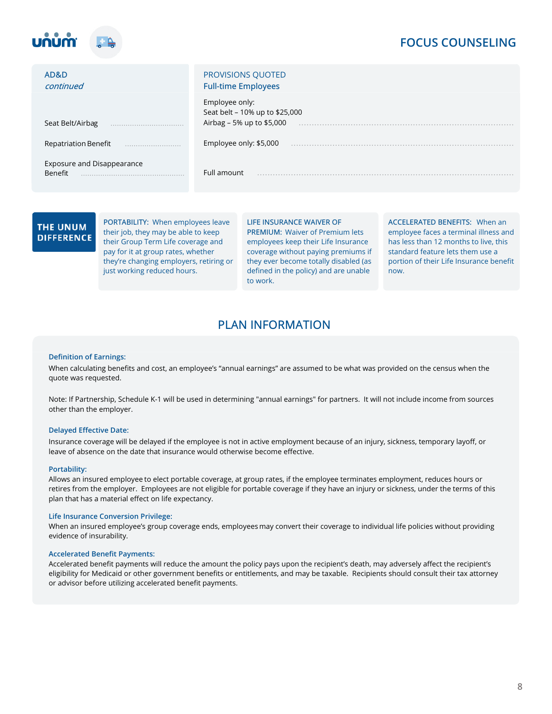

| AD&D<br>continued                            | <b>PROVISIONS QUOTED</b><br><b>Full-time Employees</b>                        |
|----------------------------------------------|-------------------------------------------------------------------------------|
| Seat Belt/Airbag                             | Employee only:<br>Seat belt - 10% up to \$25,000<br>Airbag – 5% up to \$5,000 |
| Repatriation Benefit                         | Employee only: \$5,000                                                        |
| <b>Exposure and Disappearance</b><br>Benefit | Full amount                                                                   |

### **THE UNUM DIFFERENCE**

**PORTABILITY:** When employees leave their job, they may be able to keep their Group Term Life coverage and pay for it at group rates, whether they're changing employers, retiring or just working reduced hours.

**LIFE INSURANCE WAIVER OF PREMIUM:** Waiver of Premium lets employees keep their Life Insurance coverage without paying premiums if they ever become totally disabled (as defined in the policy) and are unable to work.

**ACCELERATED BENEFITS:** When an employee faces a terminal illness and has less than 12 months to live, this standard feature lets them use a portion of their Life Insurance benefit now.

# **PLAN INFORMATION**

#### **Definition of Earnings:**

When calculating benefits and cost, an employee's "annual earnings" are assumed to be what was provided on the census when the quote was requested.

Note: If Partnership, Schedule K-1 will be used in determining "annual earnings" for partners. It will not include income from sources other than the employer.

### **Delayed Effective Date:**

Insurance coverage will be delayed if the employee is not in active employment because of an injury, sickness, temporary layoff, or leave of absence on the date that insurance would otherwise become effective.

#### **Portability:**

Allows an insured employee to elect portable coverage, at group rates, if the employee terminates employment, reduces hours or retires from the employer. Employees are not eligible for portable coverage if they have an injury or sickness, under the terms of this plan that has a material effect on life expectancy.

#### **Life Insurance Conversion Privilege:**

When an insured employee's group coverage ends, employees may convert their coverage to individual life policies without providing evidence of insurability.

#### **Accelerated Benefit Payments:**

Accelerated benefit payments will reduce the amount the policy pays upon the recipient's death, may adversely affect the recipient's eligibility for Medicaid or other government benefits or entitlements, and may be taxable. Recipients should consult their tax attorney or advisor before utilizing accelerated benefit payments.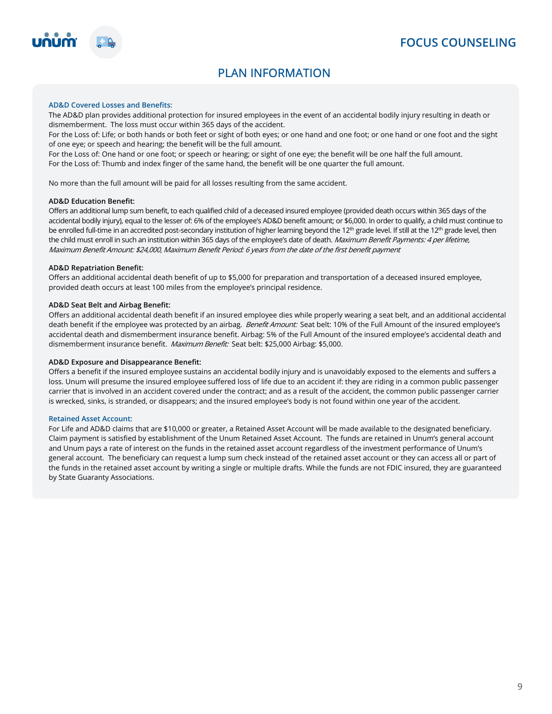

# **PLAN INFORMATION**

### **AD&D Covered Losses and Benefits:**

The AD&D plan provides additional protection for insured employees in the event of an accidental bodily injury resulting in death or dismemberment. The loss must occur within 365 days of the accident.

For the Loss of: Life; or both hands or both feet or sight of both eyes; or one hand and one foot; or one hand or one foot and the sight of one eye; or speech and hearing; the benefit will be the full amount.

For the Loss of: One hand or one foot; or speech or hearing; or sight of one eye; the benefit will be one half the full amount. For the Loss of: Thumb and index finger of the same hand, the benefit will be one quarter the full amount.

No more than the full amount will be paid for all losses resulting from the same accident.

### **AD&D Education Benefit:**

Offers an additional lump sum benefit, to each qualified child of a deceased insured employee (provided death occurs within 365 days of the<br>accidental bodily injury), equal to the lesser of: 6% of the employee's AD&D benef <sup>th</sup> grade level. If still at the 12<sup>th</sup> grade level, then the child must enroll in such an institution within 365 days of the employee's date of death. *Maximum Benefit Payments: 4 per lifetime*,<br>Maximum Benefit Amount: \$24,000, Maximum Benefit Period: 6 years from the date of th

#### **AD&D Repatriation Benefit:**

Offers an additional accidental death benefit of up to \$5,000 for preparation and transportation of a deceased insured employee, provided death occurs at least 100 miles from the employee's principal residence.

#### **AD&D Seat Belt and Airbag Benefit:**

Offers an additional accidental death benefit if an insured employee dies while properly wearing a seat belt, and an additional accidental death benefit if the employee was protected by an airbag. *Benefit Amount:* Seat belt: 10% of the Full Amount of the insured employee's accidental death and dismemberment insurance benefit. Airbag: 5% of the Full Amount of the insured employee's accidental death and dismemberment insurance benefit. *Maximum Benefit:* Seat belt: \$25,000 Airbag: \$5,000.

#### **AD&D Exposure and Disappearance Benefit:**

Offers a benefit if the insured employee sustains an accidental bodily injury and is unavoidably exposed to the elements and suffers a loss. Unum will presume the insured employee suffered loss of life due to an accident if: they are riding in a common public passenger carrier that is involved in an accident covered under the contract; and as a result of the accident, the common public passenger carrier is wrecked, sinks, is stranded, or disappears; and the insured employee's body is not found within one year of the accident.

#### **Retained Asset Account:**

For Life and AD&D claims that are \$10,000 or greater, a Retained Asset Account will be made available to the designated beneficiary. Claim payment is satisfied by establishment of the Unum Retained Asset Account. The funds are retained in Unum's general account and Unum pays a rate of interest on the funds in the retained asset account regardless of the investment performance of Unum's general account. The beneficiary can request a lump sum check instead of the retained asset account or they can access all or part of the funds in the retained asset account by writing a single or multiple drafts. While the funds are not FDIC insured, they are guaranteed by State Guaranty Associations.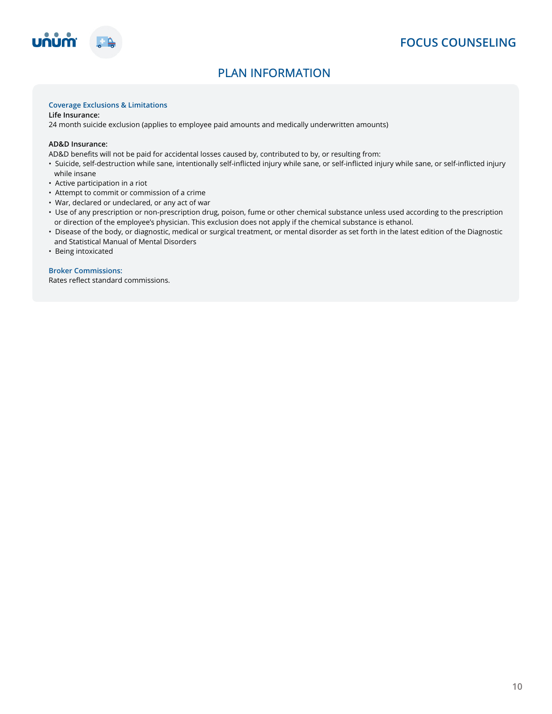



# **PLAN INFORMATION**

### **Coverage Exclusions & Limitations**

**Life Insurance:** 

24 month suicide exclusion (applies to employee paid amounts and medically underwritten amounts)

### **AD&D Insurance:**

AD&D benefits will not be paid for accidental losses caused by, contributed to by, or resulting from:

- Suicide, self-destruction while sane, intentionally self-inflicted injury while sane, or self-inflicted injury while sane, or self-inflicted injury while insane
- Active participation in a riot
- Attempt to commit or commission of a crime
- War, declared or undeclared, or any act of war
- Use of any prescription or non-prescription drug, poison, fume or other chemical substance unless used according to the prescription or direction of the employee's physician. This exclusion does not apply if the chemical substance is ethanol.
- Disease of the body, or diagnostic, medical or surgical treatment, or mental disorder as set forth in the latest edition of the Diagnostic and Statistical Manual of Mental Disorders
- Being intoxicated

### **Broker Commissions:**

Rates reflect standard commissions.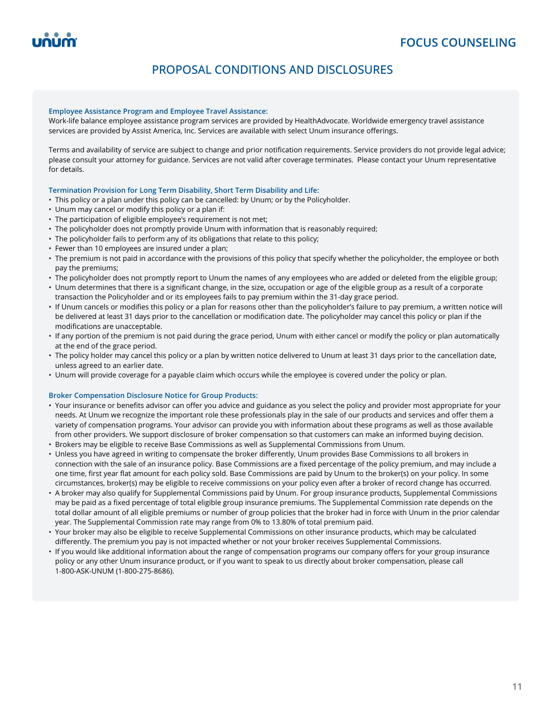# **PROPOSAL CONDITIONS AND DISCLOSURES**

#### **Employee Assistance Program and Employee Travel Assistance:**

Work-life balance employee assistance program services are provided by HealthAdvocate. Worldwide emergency travel assistance services are provided by Assist America, Inc. Services are available with select Unum insurance offerings.

Terms and availability of service are subject to change and prior notification requirements. Service providers do not provide legal advice; please consult your attorney for guidance. Services are not valid after coverage terminates. Please contact your Unum representative for details.

### **Termination Provision for Long Term Disability, Short Term Disability and Life:**

- This policy or a plan under this policy can be cancelled: by Unum; or by the Policyholder.
- Unum may cancel or modify this policy or a plan if:
- The participation of eligible employee's requirement is not met;
- The policyholder does not promptly provide Unum with information that is reasonably required;
- The policyholder fails to perform any of its obligations that relate to this policy;
- Fewer than 10 employees are insured under a plan;
- The premium is not paid in accordance with the provisions of this policy that specify whether the policyholder, the employee or both pay the premiums;
- The policyholder does not promptly report to Unum the names of any employees who are added or deleted from the eligible group;
- Unum determines that there is a significant change, in the size, occupation or age of the eligible group as a result of a corporate transaction the Policyholder and or its employees fails to pay premium within the 31-day grace period.
- If Unum cancels or modifies this policy or a plan for reasons other than the policyholder's failure to pay premium, a written notice will be delivered at least 31days prior to the cancellation or modification date. The policyholder may cancel this policy or plan if the modifications are unacceptable.
- If any portion of the premium is not paid during the grace period, Unum with either cancel or modify the policy or plan automatically at the end of the grace period.
- The policy holder may cancel this policy or a plan by written notice delivered to Unum at least 31 days prior to the cancellation date, unless agreed to an earlier date.
- Unum will provide coverage for a payable claim which occurs while the employee is covered under the policy or plan.

### **Broker Compensation Disclosure Notice for Group Products:**

- Your insurance or benefits advisor can offer you advice and guidance as you select the policy and provider most appropriate for your needs. At Unum we recognize the important role these professionals play in the sale of our products and services and offer them a variety of compensation programs. Your advisor can provide you with information about these programs as well as those available from other providers. We support disclosure of broker compensation so that customers can make an informed buying decision.
- Brokers may be eligible to receive Base Commissions as well as Supplemental Commissions from Unum.
- Unless you have agreed in writing to compensate the broker differently, Unum provides Base Commissions to all brokers in connection with the sale of an insurance policy. Base Commissions are a fixed percentage of the policy premium, and may include a one time, first year flat amount for each policy sold. Base Commissions are paid by Unum to the broker(s) on your policy. In some circumstances, broker(s) may be eligible to receive commissions on your policy even after a broker of record change has occurred.
- A broker may also qualify for Supplemental Commissions paid by Unum. For group insurance products, Supplemental Commissions may be paid as a fixed percentage of total eligible group insurance premiums. The Supplemental Commission rate depends on the total dollar amount of all eligible premiums or number of group policies that the broker had in force with Unum in the prior calendar year. The Supplemental Commission rate may range from 0% to 13.80% of total premium paid.
- Your broker may also be eligible to receive Supplemental Commissions on other insurance products, which may be calculated differently. The premium you pay is not impacted whether or not your broker receives Supplemental Commissions.
- If you would like additional information about the range of compensation programs our company offers for your group insurance policy or any other Unum insurance product, or if you want to speak to us directly about broker compensation, please call 1-800-ASK-UNUM (1-800-275-8686).